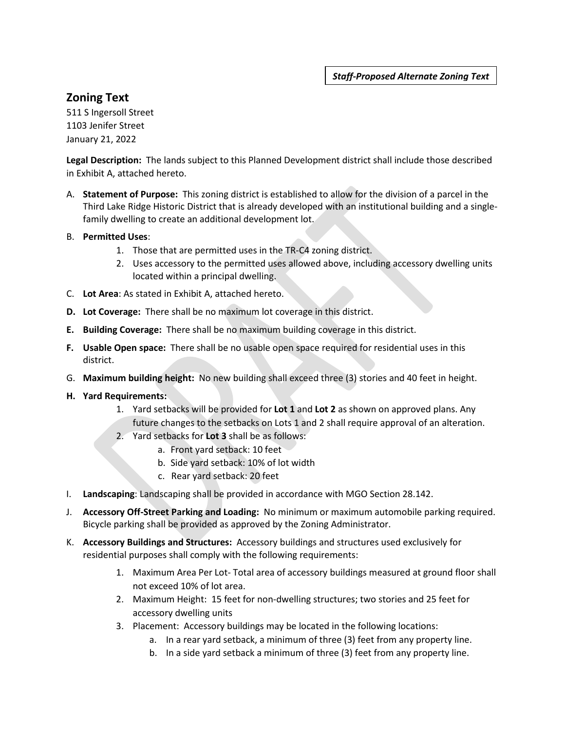*Staff-Proposed Alternate Zoning Text*

## **Zoning Text**

511 S Ingersoll Street 1103 Jenifer Street January 21, 2022

**Legal Description:** The lands subject to this Planned Development district shall include those described in Exhibit A, attached hereto.

- A. **Statement of Purpose:** This zoning district is established to allow for the division of a parcel in the Third Lake Ridge Historic District that is already developed with an institutional building and a singlefamily dwelling to create an additional development lot.
- B. **Permitted Uses**:
	- 1. Those that are permitted uses in the TR-C4 zoning district.
	- 2. Uses accessory to the permitted uses allowed above, including accessory dwelling units located within a principal dwelling.
- C. **Lot Area**: As stated in Exhibit A, attached hereto.
- **D. Lot Coverage:** There shall be no maximum lot coverage in this district.
- **E. Building Coverage:** There shall be no maximum building coverage in this district.
- **F. Usable Open space:** There shall be no usable open space required for residential uses in this district.
- G. **Maximum building height:** No new building shall exceed three (3) stories and 40 feet in height.
- **H. Yard Requirements:** 
	- 1. Yard setbacks will be provided for **Lot 1** and **Lot 2** as shown on approved plans. Any future changes to the setbacks on Lots 1 and 2 shall require approval of an alteration.
	- 2. Yard setbacks for **Lot 3** shall be as follows:
		- a. Front yard setback: 10 feet
		- b. Side yard setback: 10% of lot width
		- c. Rear yard setback: 20 feet
- I. **Landscaping**: Landscaping shall be provided in accordance with MGO Section 28.142.
- J. **Accessory Off-Street Parking and Loading:** No minimum or maximum automobile parking required. Bicycle parking shall be provided as approved by the Zoning Administrator.
- K. **Accessory Buildings and Structures:** Accessory buildings and structures used exclusively for residential purposes shall comply with the following requirements:
	- 1. Maximum Area Per Lot- Total area of accessory buildings measured at ground floor shall not exceed 10% of lot area.
	- 2. Maximum Height: 15 feet for non-dwelling structures; two stories and 25 feet for accessory dwelling units
	- 3. Placement: Accessory buildings may be located in the following locations:
		- a. In a rear yard setback, a minimum of three (3) feet from any property line.
		- b. In a side yard setback a minimum of three (3) feet from any property line.